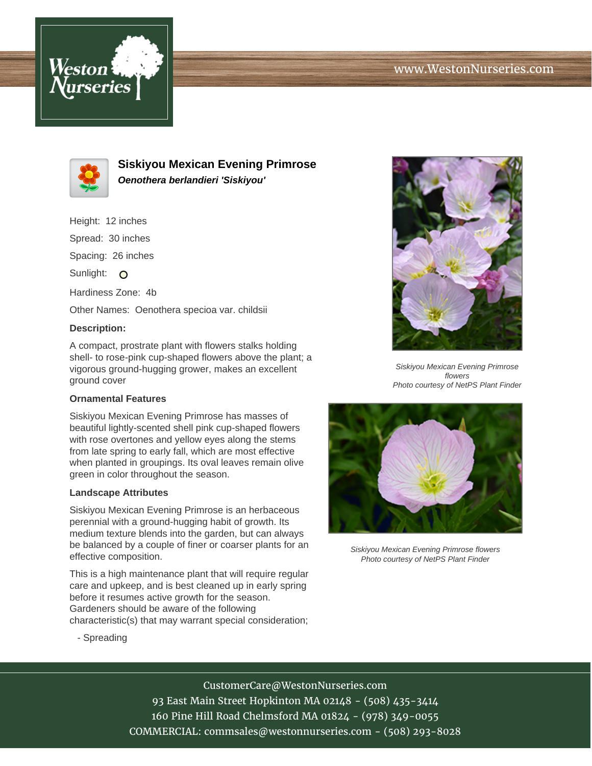



**Siskiyou Mexican Evening Primrose Oenothera berlandieri 'Siskiyou'**

Height: 12 inches Spread: 30 inches

Spacing: 26 inches

Sunlight: O

Hardiness Zone: 4b

Other Names: Oenothera specioa var. childsii

### **Description:**

A compact, prostrate plant with flowers stalks holding shell- to rose-pink cup-shaped flowers above the plant; a vigorous ground-hugging grower, makes an excellent ground cover

# **Ornamental Features**

Siskiyou Mexican Evening Primrose has masses of beautiful lightly-scented shell pink cup-shaped flowers with rose overtones and yellow eyes along the stems from late spring to early fall, which are most effective when planted in groupings. Its oval leaves remain olive green in color throughout the season.

#### **Landscape Attributes**

Siskiyou Mexican Evening Primrose is an herbaceous perennial with a ground-hugging habit of growth. Its medium texture blends into the garden, but can always be balanced by a couple of finer or coarser plants for an effective composition.

This is a high maintenance plant that will require regular care and upkeep, and is best cleaned up in early spring before it resumes active growth for the season. Gardeners should be aware of the following characteristic(s) that may warrant special consideration;



Siskiyou Mexican Evening Primrose flowers Photo courtesy of NetPS Plant Finder



Siskiyou Mexican Evening Primrose flowers Photo courtesy of NetPS Plant Finder

- Spreading

# CustomerCare@WestonNurseries.com

93 East Main Street Hopkinton MA 02148 - (508) 435-3414 160 Pine Hill Road Chelmsford MA 01824 - (978) 349-0055 COMMERCIAL: commsales@westonnurseries.com - (508) 293-8028